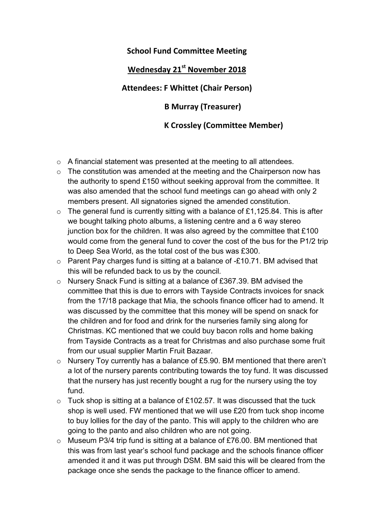## School Fund Committee Meeting

## Wednesday 21<sup>st</sup> November 2018

Attendees: F Whittet (Chair Person)

B Murray (Treasurer)

## K Crossley (Committee Member)

- o A financial statement was presented at the meeting to all attendees.
- o The constitution was amended at the meeting and the Chairperson now has the authority to spend £150 without seeking approval from the committee. It was also amended that the school fund meetings can go ahead with only 2 members present. All signatories signed the amended constitution.
- $\circ$  The general fund is currently sitting with a balance of £1,125.84. This is after we bought talking photo albums, a listening centre and a 6 way stereo junction box for the children. It was also agreed by the committee that £100 would come from the general fund to cover the cost of the bus for the P1/2 trip to Deep Sea World, as the total cost of the bus was £300.
- $\circ$  Parent Pay charges fund is sitting at a balance of -£10.71. BM advised that this will be refunded back to us by the council.
- o Nursery Snack Fund is sitting at a balance of £367.39. BM advised the committee that this is due to errors with Tayside Contracts invoices for snack from the 17/18 package that Mia, the schools finance officer had to amend. It was discussed by the committee that this money will be spend on snack for the children and for food and drink for the nurseries family sing along for Christmas. KC mentioned that we could buy bacon rolls and home baking from Tayside Contracts as a treat for Christmas and also purchase some fruit from our usual supplier Martin Fruit Bazaar.
- o Nursery Toy currently has a balance of £5.90. BM mentioned that there aren't a lot of the nursery parents contributing towards the toy fund. It was discussed that the nursery has just recently bought a rug for the nursery using the toy fund.
- $\circ$  Tuck shop is sitting at a balance of £102.57. It was discussed that the tuck shop is well used. FW mentioned that we will use £20 from tuck shop income to buy lollies for the day of the panto. This will apply to the children who are going to the panto and also children who are not going.
- $\circ$  Museum P3/4 trip fund is sitting at a balance of £76.00. BM mentioned that this was from last year's school fund package and the schools finance officer amended it and it was put through DSM. BM said this will be cleared from the package once she sends the package to the finance officer to amend.